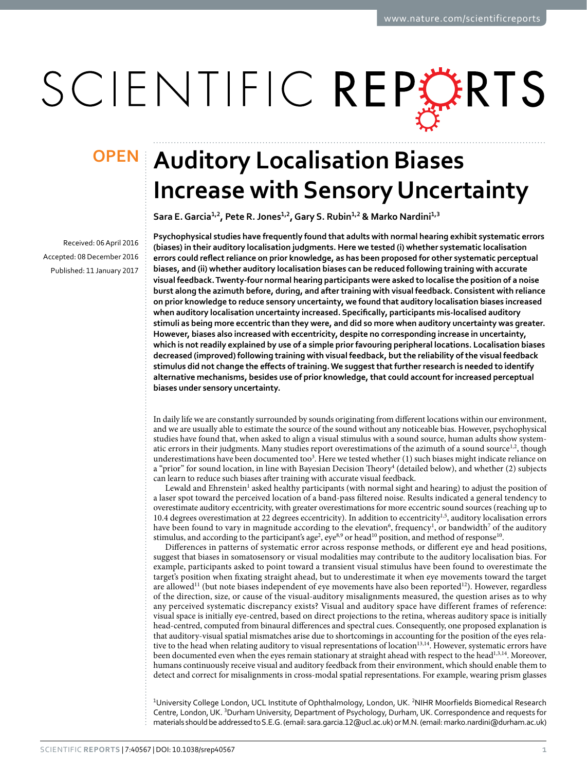# SCIENTIFIC REPERTS

Received: 06 April 2016 accepted: 08 December 2016 Published: 11 January 2017

## **Auditory Localisation Biases OPENIncrease with Sensory Uncertainty**

Sara E. Garcia<sup>1,2</sup>, Pete R. Jones<sup>1,2</sup>, Gary S. Rubin<sup>1,2</sup> & Marko Nardini<sup>1,3</sup>

**Psychophysical studies have frequently found that adults with normal hearing exhibit systematic errors (biases) in their auditory localisation judgments. Here we tested (i) whether systematic localisation errors could reflect reliance on prior knowledge, as has been proposed for other systematic perceptual biases, and (ii) whether auditory localisation biases can be reduced following training with accurate visual feedback. Twenty-four normal hearing participants were asked to localise the position of a noise burst along the azimuth before, during, and after training with visual feedback. Consistent with reliance on prior knowledge to reduce sensory uncertainty, we found that auditory localisation biases increased when auditory localisation uncertainty increased. Specifically, participants mis-localised auditory stimuli as being more eccentric than they were, and did so more when auditory uncertainty was greater. However, biases also increased with eccentricity, despite no corresponding increase in uncertainty, which is not readily explained by use of a simple prior favouring peripheral locations. Localisation biases decreased (improved) following training with visual feedback, but the reliability of the visual feedback stimulus did not change the effects of training. We suggest that further research is needed to identify alternative mechanisms, besides use of prior knowledge, that could account for increased perceptual biases under sensory uncertainty.**

In daily life we are constantly surrounded by sounds originating from different locations within our environment, and we are usually able to estimate the source of the sound without any noticeable bias. However, psychophysical studies have found that, when asked to align a visual stimulus with a sound source, human adults show system-atic errors in their judgments. Many studies report overestimations of the azimuth of a sound source<sup>1,[2](#page-7-1)</sup>, though underestimations have been documented too<sup>3</sup>. Here we tested whether (1) such biases might indicate reliance on a "prior" for sound location, in line with Bayesian Decision Theory<sup>4</sup> (detailed below), and whether (2) subjects can learn to reduce such biases after training with accurate visual feedback.

Lewald and Ehrenstein<sup>[1](#page-7-0)</sup> asked healthy participants (with normal sight and hearing) to adjust the position of a laser spot toward the perceived location of a band-pass filtered noise. Results indicated a general tendency to overestimate auditory eccentricity, with greater overestimations for more eccentric sound sources (reaching up to 10.4 degrees overestimation at 22 degrees eccentricity). In addition to eccentricity[1](#page-7-0),[5,](#page-8-0) auditory localisation errors have been found to vary in magnitude according to the elevation<sup>[6](#page-8-1)</sup>, frequency<sup>[1](#page-7-0)</sup>, or bandwidth<sup>[7](#page-8-2)</sup> of the auditory stimulus, and according to the participant's age<sup>[2](#page-7-1)</sup>, eye<sup>8[,9](#page-8-4)</sup> or head<sup>[10](#page-8-5)</sup> position, and method of response<sup>10</sup>.

Differences in patterns of systematic error across response methods, or different eye and head positions, suggest that biases in somatosensory or visual modalities may contribute to the auditory localisation bias. For example, participants asked to point toward a transient visual stimulus have been found to overestimate the target's position when fixating straight ahead, but to underestimate it when eye movements toward the target are allowed<sup>11</sup> (but note biases independent of eye movements have also been reported<sup>12</sup>). However, regardless of the direction, size, or cause of the visual-auditory misalignments measured, the question arises as to why any perceived systematic discrepancy exists? Visual and auditory space have different frames of reference: visual space is initially eye-centred, based on direct projections to the retina, whereas auditory space is initially head-centred, computed from binaural differences and spectral cues. Consequently, one proposed explanation is that auditory-visual spatial mismatches arise due to shortcomings in accounting for the position of the eyes relative to the head when relating auditory to visual representations of location<sup>13,14</sup>. However, systematic errors have been documented even when the eyes remain stationary at straight ahead with respect to the head<sup>[1](#page-7-0),[3](#page-7-2),[14](#page-8-9)</sup>. Moreover, humans continuously receive visual and auditory feedback from their environment, which should enable them to detect and correct for misalignments in cross-modal spatial representations. For example, wearing prism glasses

<sup>1</sup>University College London, UCL Institute of Ophthalmology, London, UK. <sup>2</sup>NIHR Moorfields Biomedical Research Centre, London, UK. <sup>3</sup>Durham University, Department of Psychology, Durham, UK. Correspondence and requests for materials should be addressed to S.E.G. (email: [sara.garcia.12@ucl.ac.uk](mailto:sara.garcia.12@ucl.ac.uk)) or M.N. (email: [marko.nardini@durham.ac.uk](mailto:marko.nardini@durham.ac.uk))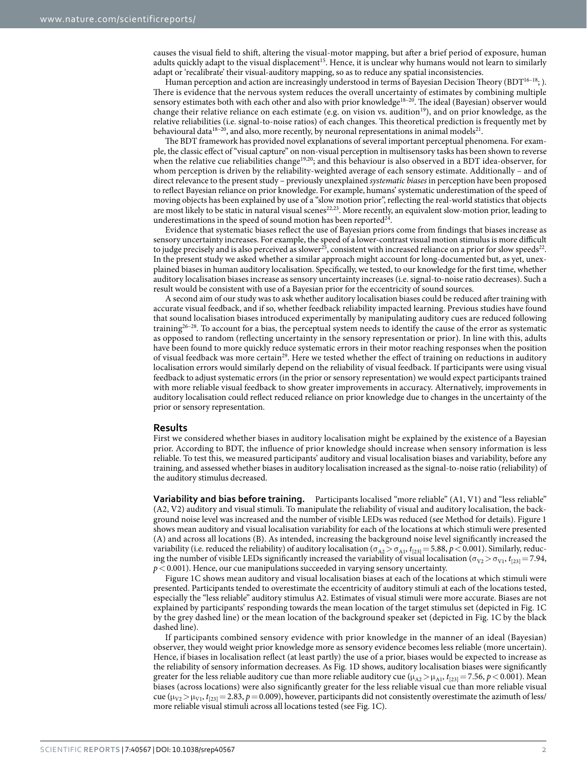causes the visual field to shift, altering the visual-motor mapping, but after a brief period of exposure, human adults quickly adapt to the visual displacement<sup>[15](#page-8-10)</sup>. Hence, it is unclear why humans would not learn to similarly adapt or 'recalibrate' their visual-auditory mapping, so as to reduce any spatial inconsistencies.

Human perception and action are increasingly understood in terms of Bayesian Decision Theory ( $BDT^{16-18}$ ; ). There is evidence that the nervous system reduces the overall uncertainty of estimates by combining multiple sensory estimates both with each other and also with prior knowledge<sup>18-20</sup>. The ideal (Bayesian) observer would change their relative reliance on each estimate (e.g. on vision vs. audition<sup>19</sup>), and on prior knowledge, as the relative reliabilities (i.e. signal-to-noise ratios) of each changes. This theoretical prediction is frequently met by behavioural data<sup>18–20</sup>, and also, more recently, by neuronal representations in animal models<sup>[21](#page-8-14)</sup>.

The BDT framework has provided novel explanations of several important perceptual phenomena. For example, the classic effect of "visual capture" on non-visual perception in multisensory tasks has been shown to reverse when the relative cue reliabilities change<sup>[19,](#page-8-13)20</sup>; and this behaviour is also observed in a BDT idea-observer, for whom perception is driven by the reliability-weighted average of each sensory estimate. Additionally – and of direct relevance to the present study – previously unexplained *systematic biases* in perception have been proposed to reflect Bayesian reliance on prior knowledge. For example, humans' systematic underestimation of the speed of moving objects has been explained by use of a "slow motion prior", reflecting the real-world statistics that objects are most likely to be static in natural visual scenes<sup>22,23</sup>. More recently, an equivalent slow-motion prior, leading to underestimations in the speed of sound motion has been reported $24$ .

Evidence that systematic biases reflect the use of Bayesian priors come from findings that biases increase as sensory uncertainty increases. For example, the speed of a lower-contrast visual motion stimulus is more difficult to judge precisely and is also perceived as slower<sup>25</sup>, consistent with increased reliance on a prior for slow speeds<sup>22</sup>. In the present study we asked whether a similar approach might account for long-documented but, as yet, unexplained biases in human auditory localisation. Specifically, we tested, to our knowledge for the first time, whether auditory localisation biases increase as sensory uncertainty increases (i.e. signal-to-noise ratio decreases). Such a result would be consistent with use of a Bayesian prior for the eccentricity of sound sources.

A second aim of our study was to ask whether auditory localisation biases could be reduced after training with accurate visual feedback, and if so, whether feedback reliability impacted learning. Previous studies have found that sound localisation biases introduced experimentally by manipulating auditory cues are reduced following training $2^{26-28}$ . To account for a bias, the perceptual system needs to identify the cause of the error as systematic as opposed to random (reflecting uncertainty in the sensory representation or prior). In line with this, adults have been found to more quickly reduce systematic errors in their motor reaching responses when the position of visual feedback was more certain<sup>29</sup>. Here we tested whether the effect of training on reductions in auditory localisation errors would similarly depend on the reliability of visual feedback. If participants were using visual feedback to adjust systematic errors (in the prior or sensory representation) we would expect participants trained with more reliable visual feedback to show greater improvements in accuracy. Alternatively, improvements in auditory localisation could reflect reduced reliance on prior knowledge due to changes in the uncertainty of the prior or sensory representation.

#### **Results**

First we considered whether biases in auditory localisation might be explained by the existence of a Bayesian prior. According to BDT, the influence of prior knowledge should increase when sensory information is less reliable. To test this, we measured participants' auditory and visual localisation biases and variability, before any training, and assessed whether biases in auditory localisation increased as the signal-to-noise ratio (reliability) of the auditory stimulus decreased.

**Variability and bias before training.** Participants localised "more reliable" (A1, V1) and "less reliable" (A2, V2) auditory and visual stimuli. To manipulate the reliability of visual and auditory localisation, the background noise level was increased and the number of visible LEDs was reduced (see Method for details). [Figure 1](#page-2-0)  shows mean auditory and visual localisation variability for each of the locations at which stimuli were presented (A) and across all locations (B). As intended, increasing the background noise level significantly increased the variability (i.e. reduced the reliability) of auditory localisation ( $\sigma_{A2} > \sigma_{A1}$ ,  $t_{[23]} = 5.88$ ,  $p < 0.001$ ). Similarly, reducing the number of visible LEDs significantly increased the variability of visual localisation ( $\sigma_{V2} > \sigma_{V1}$ ,  $t_{[23]} = 7.94$ , *p* < 0.001). Hence, our cue manipulations succeeded in varying sensory uncertainty.

[Figure 1C](#page-2-0) shows mean auditory and visual localisation biases at each of the locations at which stimuli were presented. Participants tended to overestimate the eccentricity of auditory stimuli at each of the locations tested, especially the "less reliable" auditory stimulus A2. Estimates of visual stimuli were more accurate. Biases are not explained by participants' responding towards the mean location of the target stimulus set (depicted in [Fig. 1C](#page-2-0)  by the grey dashed line) or the mean location of the background speaker set (depicted in [Fig. 1C](#page-2-0) by the black dashed line).

If participants combined sensory evidence with prior knowledge in the manner of an ideal (Bayesian) observer, they would weight prior knowledge more as sensory evidence becomes less reliable (more uncertain). Hence, if biases in localisation reflect (at least partly) the use of a prior, biases would be expected to increase as the reliability of sensory information decreases. As [Fig. 1D](#page-2-0) shows, auditory localisation biases were significantly greater for the less reliable auditory cue than more reliable auditory cue ( $\mu_{A2} > \mu_{A1}$ ,  $t_{[23]} = 7.56$ ,  $p < 0.001$ ). Mean biases (across locations) were also significantly greater for the less reliable visual cue than more reliable visual cue ( $\mu_{V2}>\mu_{V1}$ ,  $t_{[23]}=2.83$ ,  $p=0.009$ ), however, participants did not consistently overestimate the azimuth of less/ more reliable visual stimuli across all locations tested (see [Fig. 1C](#page-2-0)).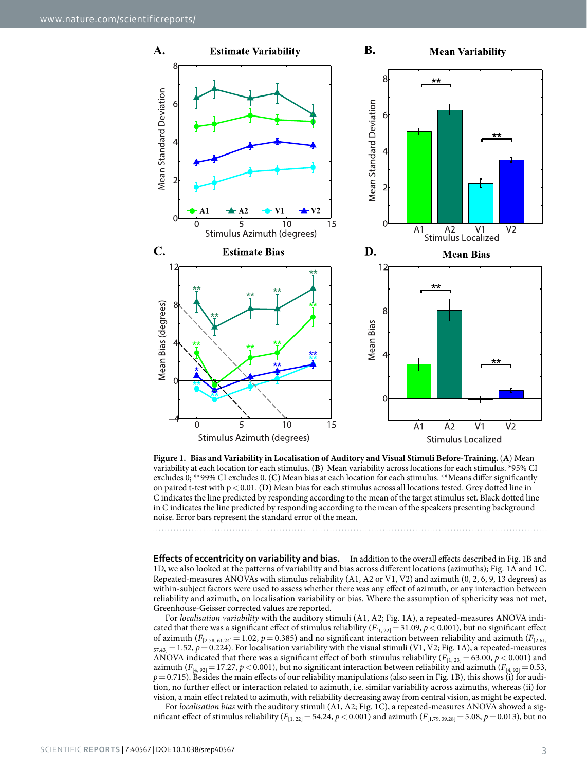

<span id="page-2-0"></span>**Figure 1. Bias and Variability in Localisation of Auditory and Visual Stimuli Before-Training.** (**A**) Mean variability at each location for each stimulus. (**B**) Mean variability across locations for each stimulus. \*95% CI excludes 0; \*\*99% CI excludes 0. (**C**) Mean bias at each location for each stimulus. \*\*Means differ significantly on paired t-test with  $p < 0.01$ . (**D**) Mean bias for each stimulus across all locations tested. Grey dotted line in C indicates the line predicted by responding according to the mean of the target stimulus set. Black dotted line in C indicates the line predicted by responding according to the mean of the speakers presenting background noise. Error bars represent the standard error of the mean.

**Effects of eccentricity on variability and bias.** In addition to the overall effects described in [Fig. 1](#page-2-0)B and [1](#page-2-0)D, we also looked at the patterns of variability and bias across different locations (azimuths); [Fig. 1](#page-2-0)A and [1C](#page-2-0). Repeated-measures ANOVAs with stimulus reliability (A1, A2 or V1, V2) and azimuth (0, 2, 6, 9, 13 degrees) as within-subject factors were used to assess whether there was any effect of azimuth, or any interaction between reliability and azimuth, on localisation variability or bias. Where the assumption of sphericity was not met, Greenhouse-Geisser corrected values are reported.

For *localisation variability* with the auditory stimuli (A1, A2; [Fig. 1A](#page-2-0)), a repeated-measures ANOVA indicated that there was a significant effect of stimulus reliability  $(F_{[1, 22]} = 31.09, p < 0.001)$ , but no significant effect of azimuth  $(F_{[2,78,61,24]}=1.02, p=0.385)$  and no significant interaction between reliability and azimuth ( $F_{[2,61,61,24]}$ )  $_{57,43]}$  = 1.52,  $p$  = 0.224). For localisation variability with the visual stimuli (V1, V2; [Fig. 1A\)](#page-2-0), a repeated-measures ANOVA indicated that there was a significant effect of both stimulus reliability ( $F_{[1, 23]}$  = 63.00,  $p$  < 0.001) and azimuth ( $F_{[4, 92]} = 17.27$ ,  $p < 0.001$ ), but no significant interaction between reliability and azimuth ( $F_{[4, 92]} = 0.53$ , *p*=0.715). Besides the main effects of our reliability manipulations (also seen in [Fig. 1B\)](#page-2-0), this shows (i) for audition, no further effect or interaction related to azimuth, i.e. similar variability across azimuths, whereas (ii) for vision, a main effect related to azimuth, with reliability decreasing away from central vision, as might be expected.

For *localisation bias* with the auditory stimuli (A1, A2; [Fig. 1C](#page-2-0)), a repeated-measures ANOVA showed a significant effect of stimulus reliability ( $F_{[1, 22]}$  = 54.24,  $p$  < 0.001) and azimuth ( $F_{[1.79, 39.28]}$  = 5.08,  $p$  = 0.013), but no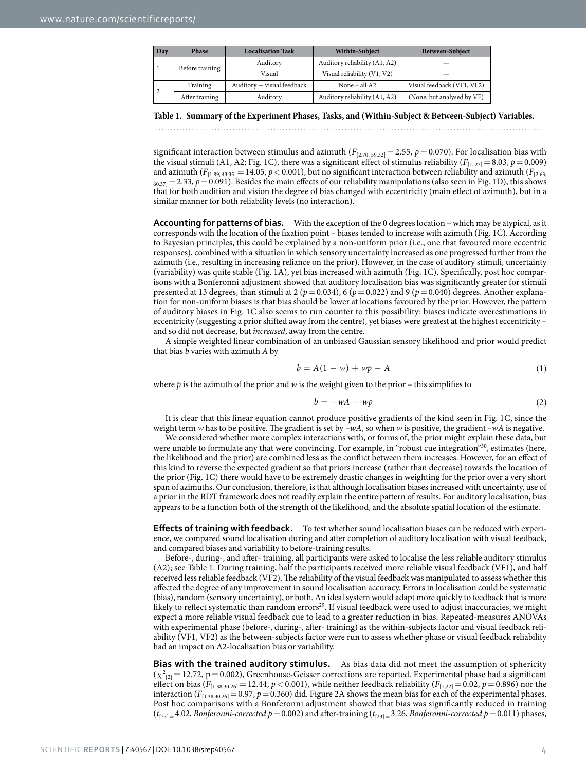<span id="page-3-0"></span>

| Day | Phase           | <b>Localisation Task</b>     | <b>Within-Subject</b>         | <b>Between-Subject</b>     |
|-----|-----------------|------------------------------|-------------------------------|----------------------------|
|     | Before training | Auditory                     | Auditory reliability (A1, A2) |                            |
|     |                 | Visual                       | Visual reliability (V1, V2)   |                            |
| 2   | Training        | Auditory $+$ visual feedback | None – all A2                 | Visual feedback (VF1, VF2) |
|     | After training  | Auditory                     | Auditory reliability (A1, A2) | (None, but analysed by VF) |

**Table 1. Summary of the Experiment Phases, Tasks, and (Within-Subject & Between-Subject) Variables.**

significant interaction between stimulus and azimuth  $(F_{[2.70, 59.32]} = 2.55, p = 0.070)$ . For localisation bias with the visual stimuli (A1, A2; [Fig. 1C\)](#page-2-0), there was a significant effect of stimulus reliability ( $F_{[1, 23]} = 8.03$ ,  $p = 0.009$ ) and azimuth  $(F_{[1.89, 43.35]} = 14.05, p < 0.001)$ , but no significant interaction between reliability and azimuth ( $F_{[2.63, p]}$  $\epsilon_{60.37}$  = 2.33,  $p$  = 0.091). Besides the main effects of our reliability manipulations (also seen in [Fig. 1D\)](#page-2-0), this shows that for both audition and vision the degree of bias changed with eccentricity (main effect of azimuth), but in a similar manner for both reliability levels (no interaction).

**Accounting for patterns of bias.** With the exception of the 0 degrees location – which may be atypical, as it corresponds with the location of the fixation point – biases tended to increase with azimuth ([Fig. 1C](#page-2-0)). According to Bayesian principles, this could be explained by a non-uniform prior (i.e., one that favoured more eccentric responses), combined with a situation in which sensory uncertainty increased as one progressed further from the azimuth (i.e., resulting in increasing reliance on the prior). However, in the case of auditory stimuli, uncertainty (variability) was quite stable ([Fig. 1A](#page-2-0)), yet bias increased with azimuth ([Fig. 1C\)](#page-2-0). Specifically, post hoc comparisons with a Bonferonni adjustment showed that auditory localisation bias was significantly greater for stimuli presented at 13 degrees, than stimuli at 2 ( $p = 0.034$ ), 6 ( $p = 0.022$ ) and 9 ( $p = 0.040$ ) degrees. Another explanation for non-uniform biases is that bias should be lower at locations favoured by the prior. However, the pattern of auditory biases in [Fig. 1C](#page-2-0) also seems to run counter to this possibility: biases indicate overestimations in eccentricity (suggesting a prior shifted away from the centre), yet biases were greatest at the highest eccentricity – and so did not decrease, but *increased*, away from the centre.

A simple weighted linear combination of an unbiased Gaussian sensory likelihood and prior would predict that bias *b* varies with azimuth *A* by

$$
b = A(1 - w) + wp - A \tag{1}
$$

where  $p$  is the azimuth of the prior and  $w$  is the weight given to the prior – this simplifies to

$$
b = -wA + wp \tag{2}
$$

It is clear that this linear equation cannot produce positive gradients of the kind seen in [Fig. 1C,](#page-2-0) since the weight term *w* has to be positive. The gradient is set by –*wA*, so when *w* is positive, the gradient *–wA* is negative.

We considered whether more complex interactions with, or forms of, the prior might explain these data, but were unable to formulate any that were convincing. For example, in "robust cue integration"<sup>30</sup>, estimates (here, the likelihood and the prior) are combined less as the conflict between them increases. However, for an effect of this kind to reverse the expected gradient so that priors increase (rather than decrease) towards the location of the prior [\(Fig. 1C](#page-2-0)) there would have to be extremely drastic changes in weighting for the prior over a very short span of azimuths. Our conclusion, therefore, is that although localisation biases increased with uncertainty, use of a prior in the BDT framework does not readily explain the entire pattern of results. For auditory localisation, bias appears to be a function both of the strength of the likelihood, and the absolute spatial location of the estimate.

**Effects of training with feedback.** To test whether sound localisation biases can be reduced with experience, we compared sound localisation during and after completion of auditory localisation with visual feedback, and compared biases and variability to before-training results.

Before-, during-, and after- training, all participants were asked to localise the less reliable auditory stimulus (A2); see [Table 1](#page-3-0). During training, half the participants received more reliable visual feedback (VF1), and half received less reliable feedback (VF2). The reliability of the visual feedback was manipulated to assess whether this affected the degree of any improvement in sound localisation accuracy. Errors in localisation could be systematic (bias), random (sensory uncertainty), or both. An ideal system would adapt more quickly to feedback that is more likely to reflect systematic than random errors<sup>[29](#page-8-21)</sup>. If visual feedback were used to adjust inaccuracies, we might expect a more reliable visual feedback cue to lead to a greater reduction in bias. Repeated-measures ANOVAs with experimental phase (before-, during-, after- training) as the within-subjects factor and visual feedback reliability (VF1, VF2) as the between-subjects factor were run to assess whether phase or visual feedback reliability had an impact on A2-localisation bias or variability.

**Bias with the trained auditory stimulus.** As bias data did not meet the assumption of sphericity  $(\chi^2_{[2]}=12.72, p=0.002)$ , Greenhouse-Geisser corrections are reported. Experimental phase had a significant effect on bias  $(F_{[1.38,30.26]} = 12.44, p < 0.001)$ , while neither feedback reliability  $(F_{[1,22]} = 0.02, p = 0.896)$  nor the interaction ( $F_{[1,38,30,26]}$  = 0.97,  $p$  = 0.360) did. [Figure 2A](#page-4-0) shows the mean bias for each of the experimental phases. Post hoc comparisons with a Bonferonni adjustment showed that bias was significantly reduced in training  $(t_{[23]=}4.02$ , *Bonferonni-corrected p*=0.002) and after-training  $(t_{[23]=}3.26$ , *Bonferonni-corrected p*=0.011) phases,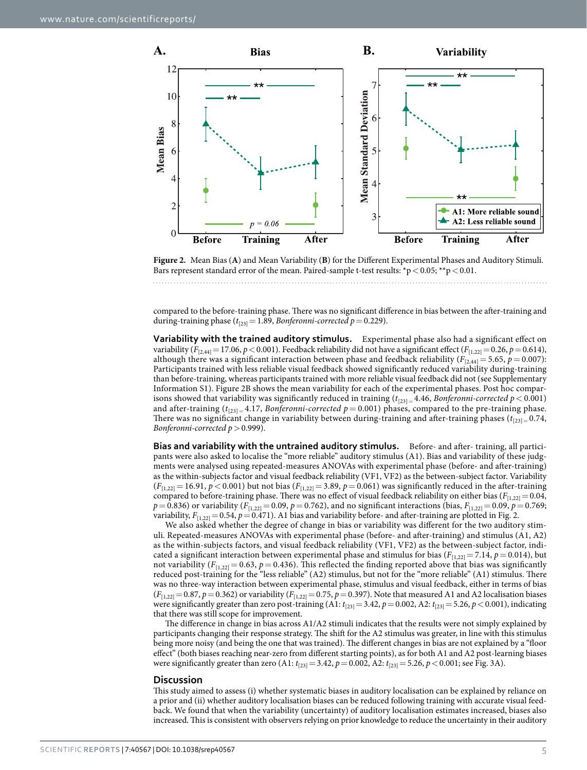

<span id="page-4-0"></span>**Figure 2.** Mean Bias (**A**) and Mean Variability (**B**) for the Different Experimental Phases and Auditory Stimuli. Bars represent standard error of the mean. Paired-sample t-test results: \*p < 0.05; \*\*p < 0.01.

compared to the before-training phase. There was no significant difference in bias between the after-training and during-training phase ( $t_{[23]}$  = 1.89, *Bonferonni-corrected p* = 0.229).

**Variability with the trained auditory stimulus.** Experimental phase also had a significant effect on variability ( $F_{[2,44]}$  = 17.06, *p* < 0.001). Feedback reliability did not have a significant effect ( $F_{[1,22]}$  = 0.26, *p* = 0.614), although there was a significant interaction between phase and feedback reliability ( $F_{[2,44]}$  = 5.65, *p* = 0.007): Participants trained with less reliable visual feedback showed significantly reduced variability during-training than before-training, whereas participants trained with more reliable visual feedback did not (see Supplementary Information S1). [Figure 2B](#page-4-0) shows the mean variability for each of the experimental phases. Post hoc comparisons showed that variability was significantly reduced in training  $(t_{[23]=} 4.46, Bonferonni-corrected p < 0.001)$ and after-training  $(t_{[23]]} = 4.17$ , *Bonferonni-corrected p* = 0.001) phases, compared to the pre-training phase. There was no significant change in variability between during-training and after-training phases ( $t_{[23]=[}0.74,$ *Bonferonni-corrected p*>0.999).

**Bias and variability with the untrained auditory stimulus.** Before- and after- training, all participants were also asked to localise the "more reliable" auditory stimulus (A1). Bias and variability of these judgments were analysed using repeated-measures ANOVAs with experimental phase (before- and after-training) as the within-subjects factor and visual feedback reliability (VF1, VF2) as the between-subject factor. Variability  $(F_{[1,22]}=16.91, p<0.001)$  but not bias  $(F_{[1,22]}=3.89, p=0.061)$  was significantly reduced in the after-training compared to before-training phase. There was no effect of visual feedback reliability on either bias ( $F_{[1,22]}=0.04$ ,  $p = 0.836$ ) or variability ( $F_{1,22} = 0.09$ ,  $p = 0.762$ ), and no significant interactions (bias,  $F_{1,22} = 0.09$ ,  $p = 0.769$ ; variability,  $F_{[1,22]}=0.54$ ,  $p=0.471$ ). A1 bias and variability before- and after-training are plotted in [Fig. 2.](#page-4-0)

We also asked whether the degree of change in bias or variability was different for the two auditory stimuli. Repeated-measures ANOVAs with experimental phase (before- and after-training) and stimulus (A1, A2) as the within-subjects factors, and visual feedback reliability (VF1, VF2) as the between-subject factor, indicated a significant interaction between experimental phase and stimulus for bias ( $F_{[1,22]}$ = 7.14,  $p$  = 0.014), but not variability  $(F_{[1,22]}= 0.63, p = 0.436)$ . This reflected the finding reported above that bias was significantly reduced post-training for the "less reliable" (A2) stimulus, but not for the "more reliable" (A1) stimulus. There was no three-way interaction between experimental phase, stimulus and visual feedback, either in terms of bias  $(F_{1,22}=0.87, p=0.362)$  or variability  $(F_{1,22}=0.75, p=0.397)$ . Note that measured A1 and A2 localisation biases were significantly greater than zero post-training  $(A1: t_{123}= 3.42, p=0.002, A2: t_{123}= 5.26, p<0.001)$ , indicating that there was still scope for improvement.

The difference in change in bias across A1/A2 stimuli indicates that the results were not simply explained by participants changing their response strategy. The shift for the A2 stimulus was greater, in line with this stimulus being more noisy (and being the one that was trained). The different changes in bias are not explained by a "floor effect" (both biases reaching near-zero from different starting points), as for both A1 and A2 post-learning biases were significantly greater than zero (A1: *t*[23]=3.42, *p*=0.002, A2: *t*[23]=5.26, *p*<0.001; see [Fig. 3A\)](#page-5-0).

#### **Discussion**

This study aimed to assess (i) whether systematic biases in auditory localisation can be explained by reliance on a prior and (ii) whether auditory localisation biases can be reduced following training with accurate visual feedback. We found that when the variability (uncertainty) of auditory localisation estimates increased, biases also increased. This is consistent with observers relying on prior knowledge to reduce the uncertainty in their auditory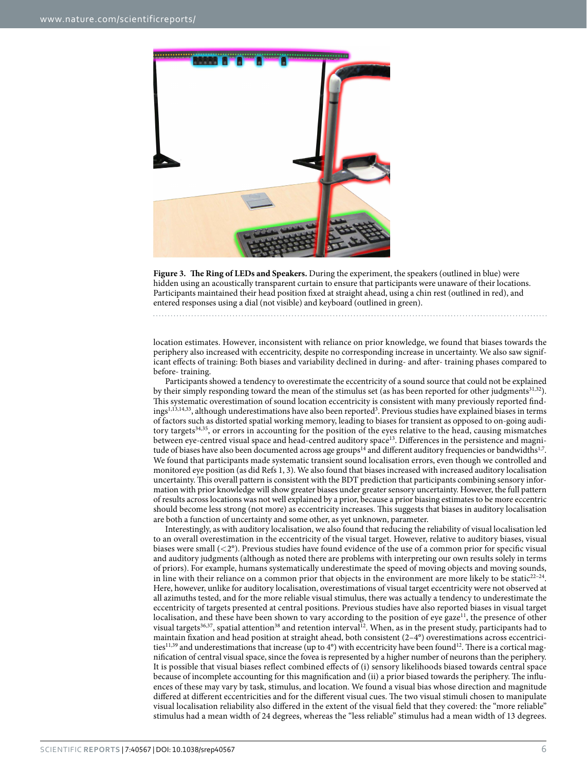

<span id="page-5-0"></span>**Figure 3. The Ring of LEDs and Speakers.** During the experiment, the speakers (outlined in blue) were hidden using an acoustically transparent curtain to ensure that participants were unaware of their locations. Participants maintained their head position fixed at straight ahead, using a chin rest (outlined in red), and entered responses using a dial (not visible) and keyboard (outlined in green).

location estimates. However, inconsistent with reliance on prior knowledge, we found that biases towards the periphery also increased with eccentricity, despite no corresponding increase in uncertainty. We also saw significant effects of training: Both biases and variability declined in during- and after- training phases compared to before- training.

Participants showed a tendency to overestimate the eccentricity of a sound source that could not be explained by their simply responding toward the mean of the stimulus set (as has been reported for other judgments<sup>[31](#page-8-23),[32](#page-8-24)</sup>). This systematic overestimation of sound location eccentricity is consistent with many previously reported find-ings<sup>1,[13](#page-8-8),[14](#page-8-9)[,33](#page-8-25)</sup>, although underestimations have also been reported<sup>[3](#page-7-2)</sup>. Previous studies have explained biases in terms of factors such as distorted spatial working memory, leading to biases for transient as opposed to on-going auditory target[s34](#page-8-26)[,35](#page-8-27), or errors in accounting for the position of the eyes relative to the head, causing mismatches between eye-centred visual space and head-centred auditory spac[e13.](#page-8-8) Differences in the persistence and magni-tude of biases have also been documented across age groups<sup>[14](#page-8-9)</sup> and different auditory frequencies or bandwidths<sup>[1](#page-7-0),7</sup>. We found that participants made systematic transient sound localisation errors, even though we controlled and monitored eye position (as did Refs [1,](#page-7-0) [3\)](#page-7-2). We also found that biases increased with increased auditory localisation uncertainty. This overall pattern is consistent with the BDT prediction that participants combining sensory information with prior knowledge will show greater biases under greater sensory uncertainty. However, the full pattern of results across locations was not well explained by a prior, because a prior biasing estimates to be more eccentric should become less strong (not more) as eccentricity increases. This suggests that biases in auditory localisation are both a function of uncertainty and some other, as yet unknown, parameter.

Interestingly, as with auditory localisation, we also found that reducing the reliability of visual localisation led to an overall overestimation in the eccentricity of the visual target. However, relative to auditory biases, visual biases were small (<2°). Previous studies have found evidence of the use of a common prior for specific visual and auditory judgments (although as noted there are problems with interpreting our own results solely in terms of priors). For example, humans systematically underestimate the speed of moving objects and moving sounds, in line with their reliance on a common prior that objects in the environment are more likely to be static<sup>22-24</sup>. Here, however, unlike for auditory localisation, overestimations of visual target eccentricity were not observed at all azimuths tested, and for the more reliable visual stimulus, there was actually a tendency to underestimate the eccentricity of targets presented at central positions. Previous studies have also reported biases in visual target localisation, and these have been shown to vary according to the position of eye gaze<sup>11</sup>, the presence of other visual targets<sup>36,37</sup>, spatial attention<sup>[38](#page-8-30)</sup> and retention interval<sup>[12](#page-8-7)</sup>. When, as in the present study, participants had to maintain fixation and head position at straight ahead, both consistent (2–4°) overestimations across eccentrici-ties<sup>[11](#page-8-6),[39](#page-8-31)</sup> and underestimations that increase (up to 4°) with eccentricity have been found<sup>[12](#page-8-7)</sup>. There is a cortical magnification of central visual space, since the fovea is represented by a higher number of neurons than the periphery. It is possible that visual biases reflect combined effects of (i) sensory likelihoods biased towards central space because of incomplete accounting for this magnification and (ii) a prior biased towards the periphery. The influences of these may vary by task, stimulus, and location. We found a visual bias whose direction and magnitude differed at different eccentricities and for the different visual cues. The two visual stimuli chosen to manipulate visual localisation reliability also differed in the extent of the visual field that they covered: the "more reliable" stimulus had a mean width of 24 degrees, whereas the "less reliable" stimulus had a mean width of 13 degrees.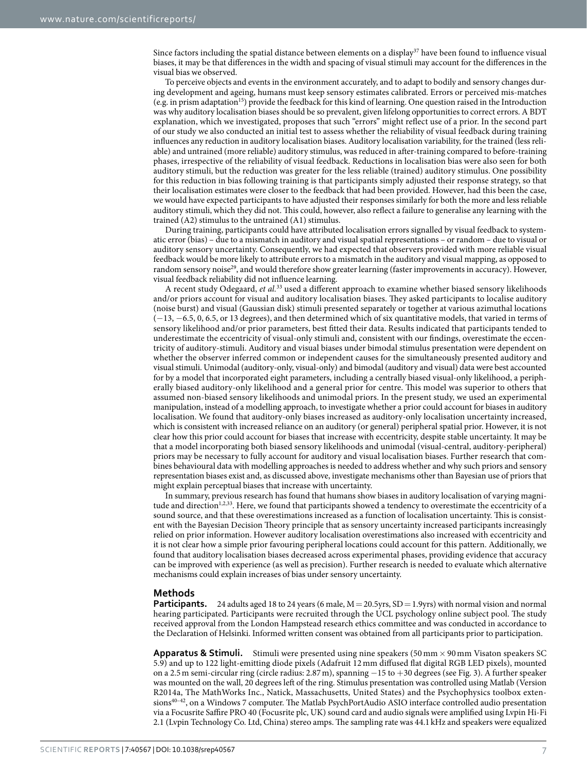Since factors including the spatial distance between elements on a display<sup>[37](#page-8-29)</sup> have been found to influence visual biases, it may be that differences in the width and spacing of visual stimuli may account for the differences in the visual bias we observed.

To perceive objects and events in the environment accurately, and to adapt to bodily and sensory changes during development and ageing, humans must keep sensory estimates calibrated. Errors or perceived mis-matches (e.g. in prism adaptation[15](#page-8-10)) provide the feedback for this kind of learning. One question raised in the Introduction was why auditory localisation biases should be so prevalent, given lifelong opportunities to correct errors. A BDT explanation, which we investigated, proposes that such "errors" might reflect use of a prior. In the second part of our study we also conducted an initial test to assess whether the reliability of visual feedback during training influences any reduction in auditory localisation biases. Auditory localisation variability, for the trained (less reliable) and untrained (more reliable) auditory stimulus, was reduced in after-training compared to before-training phases, irrespective of the reliability of visual feedback. Reductions in localisation bias were also seen for both auditory stimuli, but the reduction was greater for the less reliable (trained) auditory stimulus. One possibility for this reduction in bias following training is that participants simply adjusted their response strategy, so that their localisation estimates were closer to the feedback that had been provided. However, had this been the case, we would have expected participants to have adjusted their responses similarly for both the more and less reliable auditory stimuli, which they did not. This could, however, also reflect a failure to generalise any learning with the trained (A2) stimulus to the untrained (A1) stimulus.

During training, participants could have attributed localisation errors signalled by visual feedback to systematic error (bias) – due to a mismatch in auditory and visual spatial representations – or random – due to visual or auditory sensory uncertainty. Consequently, we had expected that observers provided with more reliable visual feedback would be more likely to attribute errors to a mismatch in the auditory and visual mapping, as opposed to random sensory noise<sup>29</sup>, and would therefore show greater learning (faster improvements in accuracy). However, visual feedback reliability did not influence learning.

A recent study Odegaard, *et al.*[33](#page-8-25) used a different approach to examine whether biased sensory likelihoods and/or priors account for visual and auditory localisation biases. They asked participants to localise auditory (noise burst) and visual (Gaussian disk) stimuli presented separately or together at various azimuthal locations (−13, −6.5, 0, 6.5, or 13 degrees), and then determined which of six quantitative models, that varied in terms of sensory likelihood and/or prior parameters, best fitted their data. Results indicated that participants tended to underestimate the eccentricity of visual-only stimuli and, consistent with our findings, overestimate the eccentricity of auditory-stimuli. Auditory and visual biases under bimodal stimulus presentation were dependent on whether the observer inferred common or independent causes for the simultaneously presented auditory and visual stimuli. Unimodal (auditory-only, visual-only) and bimodal (auditory and visual) data were best accounted for by a model that incorporated eight parameters, including a centrally biased visual-only likelihood, a peripherally biased auditory-only likelihood and a general prior for centre. This model was superior to others that assumed non-biased sensory likelihoods and unimodal priors. In the present study, we used an experimental manipulation, instead of a modelling approach, to investigate whether a prior could account for biases in auditory localisation. We found that auditory-only biases increased as auditory-only localisation uncertainty increased, which is consistent with increased reliance on an auditory (or general) peripheral spatial prior. However, it is not clear how this prior could account for biases that increase with eccentricity, despite stable uncertainty. It may be that a model incorporating both biased sensory likelihoods and unimodal (visual-central, auditory-peripheral) priors may be necessary to fully account for auditory and visual localisation biases. Further research that combines behavioural data with modelling approaches is needed to address whether and why such priors and sensory representation biases exist and, as discussed above, investigate mechanisms other than Bayesian use of priors that might explain perceptual biases that increase with uncertainty.

In summary, previous research has found that humans show biases in auditory localisation of varying magni-tude and direction<sup>[1,](#page-7-0)[2](#page-7-1),33</sup>. Here, we found that participants showed a tendency to overestimate the eccentricity of a sound source, and that these overestimations increased as a function of localisation uncertainty. This is consistent with the Bayesian Decision Theory principle that as sensory uncertainty increased participants increasingly relied on prior information. However auditory localisation overestimations also increased with eccentricity and it is not clear how a simple prior favouring peripheral locations could account for this pattern. Additionally, we found that auditory localisation biases decreased across experimental phases, providing evidence that accuracy can be improved with experience (as well as precision). Further research is needed to evaluate which alternative mechanisms could explain increases of bias under sensory uncertainty.

#### **Methods**

**Participants.** 24 adults aged 18 to 24 years (6 male,  $M = 20.5$ yrs,  $SD = 1.9$ yrs) with normal vision and normal hearing participated. Participants were recruited through the UCL psychology online subject pool. The study received approval from the London Hampstead research ethics committee and was conducted in accordance to the Declaration of Helsinki. Informed written consent was obtained from all participants prior to participation.

**Apparatus & Stimuli.** Stimuli were presented using nine speakers (50 mm × 90 mm Visaton speakers SC) 5.9) and up to 122 light-emitting diode pixels (Adafruit 12 mm diffused flat digital RGB LED pixels), mounted on a 2.5m semi-circular ring (circle radius: 2.87m), spanning −15 to +30 degrees (see [Fig. 3\)](#page-5-0). A further speaker was mounted on the wall, 20 degrees left of the ring. Stimulus presentation was controlled using Matlab (Version R2014a, The MathWorks Inc., Natick, Massachusetts, United States) and the Psychophysics toolbox extensions<sup>40-42</sup>, on a Windows 7 computer. The Matlab PsychPortAudio ASIO interface controlled audio presentation via a Focusrite Saffire PRO 40 (Focusrite plc, UK) sound card and audio signals were amplified using Lvpin Hi-Fi 2.1 (Lvpin Technology Co. Ltd, China) stereo amps. The sampling rate was 44.1 kHz and speakers were equalized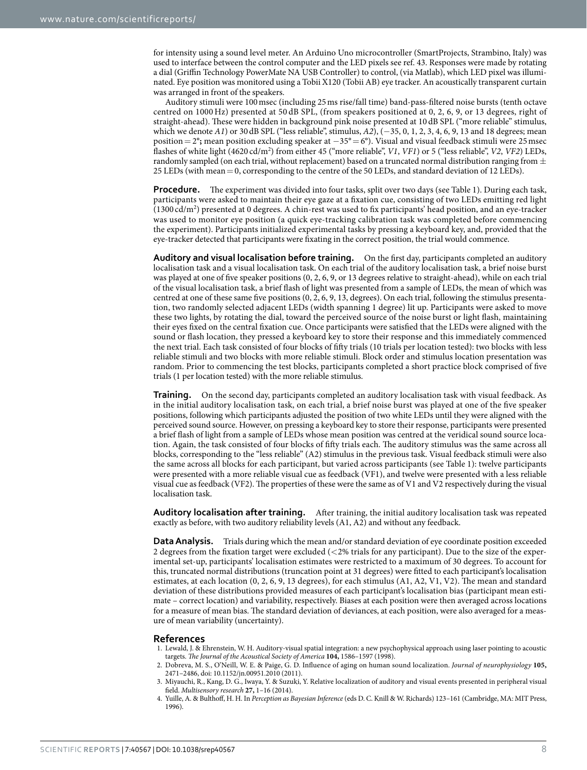for intensity using a sound level meter. An Arduino Uno microcontroller (SmartProjects, Strambino, Italy) was used to interface between the control computer and the LED pixels see ref. [43.](#page-8-33) Responses were made by rotating a dial (Griffin Technology PowerMate NA USB Controller) to control, (via Matlab), which LED pixel was illuminated. Eye position was monitored using a Tobii X120 (Tobii AB) eye tracker. An acoustically transparent curtain was arranged in front of the speakers.

Auditory stimuli were 100msec (including 25ms rise/fall time) band-pass-filtered noise bursts (tenth octave centred on 1000 Hz) presented at 50 dB SPL, (from speakers positioned at 0, 2, 6, 9, or 13 degrees, right of straight-ahead). These were hidden in background pink noise presented at 10 dB SPL ("more reliable" stimulus, which we denote *A1*) or 30dB SPL ("less reliable", stimulus, *A2*), (−35, 0, 1, 2, 3, 4, 6, 9, 13 and 18 degrees; mean position= 2**°;** mean position excluding speaker at −35**°**= 6**°**). Visual and visual feedback stimuli were 25msec flashes of white light (4620 cd/m2 ) from either 45 ("more reliable", *V1*, *VF1*) or 5 ("less reliable", *V2*, *VF2*) LEDs, randomly sampled (on each trial, without replacement) based on a truncated normal distribution ranging from  $\pm$ 25 LEDs (with mean=0, corresponding to the centre of the 50 LEDs, and standard deviation of 12 LEDs).

**Procedure.** The experiment was divided into four tasks, split over two days (see [Table 1\)](#page-3-0). During each task, participants were asked to maintain their eye gaze at a fixation cue, consisting of two LEDs emitting red light (1300 cd/m2 ) presented at 0 degrees. A chin-rest was used to fix participants' head position, and an eye-tracker was used to monitor eye position (a quick eye-tracking calibration task was completed before commencing the experiment). Participants initialized experimental tasks by pressing a keyboard key, and, provided that the eye-tracker detected that participants were fixating in the correct position, the trial would commence.

**Auditory and visual localisation before training.** On the first day, participants completed an auditory localisation task and a visual localisation task. On each trial of the auditory localisation task, a brief noise burst was played at one of five speaker positions (0, 2, 6, 9, or 13 degrees relative to straight-ahead), while on each trial of the visual localisation task, a brief flash of light was presented from a sample of LEDs, the mean of which was centred at one of these same five positions (0, 2, 6, 9, 13, degrees). On each trial, following the stimulus presentation, two randomly selected adjacent LEDs (width spanning 1 degree) lit up. Participants were asked to move these two lights, by rotating the dial, toward the perceived source of the noise burst or light flash, maintaining their eyes fixed on the central fixation cue. Once participants were satisfied that the LEDs were aligned with the sound or flash location, they pressed a keyboard key to store their response and this immediately commenced the next trial. Each task consisted of four blocks of fifty trials (10 trials per location tested): two blocks with less reliable stimuli and two blocks with more reliable stimuli. Block order and stimulus location presentation was random. Prior to commencing the test blocks, participants completed a short practice block comprised of five trials (1 per location tested) with the more reliable stimulus.

**Training.** On the second day, participants completed an auditory localisation task with visual feedback. As in the initial auditory localisation task, on each trial, a brief noise burst was played at one of the five speaker positions, following which participants adjusted the position of two white LEDs until they were aligned with the perceived sound source. However, on pressing a keyboard key to store their response, participants were presented a brief flash of light from a sample of LEDs whose mean position was centred at the veridical sound source location. Again, the task consisted of four blocks of fifty trials each. The auditory stimulus was the same across all blocks, corresponding to the "less reliable" (A2) stimulus in the previous task. Visual feedback stimuli were also the same across all blocks for each participant, but varied across participants (see [Table 1\)](#page-3-0): twelve participants were presented with a more reliable visual cue as feedback (VF1), and twelve were presented with a less reliable visual cue as feedback (VF2). The properties of these were the same as of V1 and V2 respectively during the visual localisation task.

**Auditory localisation after training.** After training, the initial auditory localisation task was repeated exactly as before, with two auditory reliability levels (A1, A2) and without any feedback.

**Data Analysis.** Trials during which the mean and/or standard deviation of eye coordinate position exceeded 2 degrees from the fixation target were excluded (<2% trials for any participant). Due to the size of the experimental set-up, participants' localisation estimates were restricted to a maximum of 30 degrees. To account for this, truncated normal distributions (truncation point at 31 degrees) were fitted to each participant's localisation estimates, at each location (0, 2, 6, 9, 13 degrees), for each stimulus (A1, A2, V1, V2). The mean and standard deviation of these distributions provided measures of each participant's localisation bias (participant mean estimate – correct location) and variability, respectively. Biases at each position were then averaged across locations for a measure of mean bias. The standard deviation of deviances, at each position, were also averaged for a measure of mean variability (uncertainty).

#### **References**

- <span id="page-7-0"></span>1. Lewald, J. & Ehrenstein, W. H. Auditory-visual spatial integration: a new psychophysical approach using laser pointing to acoustic targets. *The Journal of the Acoustical Society of America* **104,** 1586–1597 (1998).
- <span id="page-7-1"></span>2. Dobreva, M. S., O'Neill, W. E. & Paige, G. D. Influence of aging on human sound localization. *Journal of neurophysiology* **105,** 2471–2486, doi: 10.1152/jn.00951.2010 (2011).
- <span id="page-7-2"></span>3. Miyauchi, R., Kang, D. G., Iwaya, Y. & Suzuki, Y. Relative localization of auditory and visual events presented in peripheral visual field. *Multisensory research* **27,** 1–16 (2014).
- <span id="page-7-3"></span>4. Yuille, A. & Bulthoff, H. H. In *Perception as Bayesian Inference* (eds D. C. Knill & W. Richards) 123–161 (Cambridge, MA: MIT Press, 1996).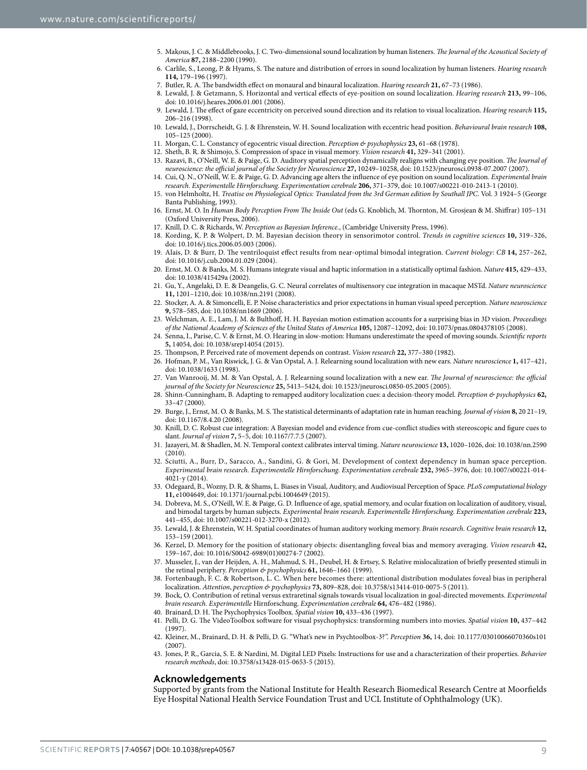- <span id="page-8-0"></span>5. Makous, J. C. & Middlebrooks, J. C. Two-dimensional sound localization by human listeners. *The Journal of the Acoustical Society of America* **87,** 2188–2200 (1990).
- <span id="page-8-1"></span>6. Carlile, S., Leong, P. & Hyams, S. The nature and distribution of errors in sound localization by human listeners. *Hearing research* **114,** 179–196 (1997).
- <span id="page-8-2"></span>7. Butler, R. A. The bandwidth effect on monaural and binaural localization. *Hearing research* **21,** 67–73 (1986).
- <span id="page-8-3"></span>8. Lewald, J. & Getzmann, S. Horizontal and vertical effects of eye-position on sound localization. *Hearing research* **213,** 99–106, doi: 10.1016/j.heares.2006.01.001 (2006).
- <span id="page-8-4"></span>9. Lewald, J. The effect of gaze eccentricity on perceived sound direction and its relation to visual localization. *Hearing research* **115,** 206–216 (1998).
- <span id="page-8-5"></span>10. Lewald, J., Dorrscheidt, G. J. & Ehrenstein, W. H. Sound localization with eccentric head position. *Behavioural brain research* **108,** 105–125 (2000).
- <span id="page-8-7"></span><span id="page-8-6"></span>11. Morgan, C. L. Constancy of egocentric visual direction. *Perception & psychophysics* **23,** 61–68 (1978).
- 12. Sheth, B. R. & Shimojo, S. Compression of space in visual memory. *Vision research* **41,** 329–341 (2001).
- <span id="page-8-8"></span>13. Razavi, B., O'Neill, W. E. & Paige, G. D. Auditory spatial perception dynamically realigns with changing eye position. *The Journal of neuroscience: the official journal of the Society for Neuroscience* **27,** 10249–10258, doi: 10.1523/jneurosci.0938-07.2007 (2007).
- <span id="page-8-9"></span>14. Cui, Q. N., O'Neill, W. E. & Paige, G. D. Advancing age alters the influence of eye position on sound localization. *Experimental brain research. Experimentelle Hirnforschung. Experimentation cerebrale* **206,** 371–379, doi: 10.1007/s00221-010-2413-1 (2010).
- <span id="page-8-10"></span>15. von Helmholtz, H. *Treatise on Physiological Optics: Translated from the 3rd German edition by Southall JPC*. Vol. 3 1924–5 (George Banta Publishing, 1993).
- <span id="page-8-11"></span>16. Ernst, M. O. In *Human Body Perception From The Inside Out* (eds G. Knoblich, M. Thornton, M. Grosjean & M. Shiffrar) 105–131 (Oxford University Press, 2006).
- 17. Knill, D. C. & Richards, W. *Perception as Bayesian Inference.*, (Cambridge University Press, 1996).
- <span id="page-8-12"></span>18. Kording, K. P. & Wolpert, D. M. Bayesian decision theory in sensorimotor control. *Trends in cognitive sciences* **10,** 319–326, doi: 10.1016/j.tics.2006.05.003 (2006).
- <span id="page-8-13"></span>19. Alais, D. & Burr, D. The ventriloquist effect results from near-optimal bimodal integration. *Current biology: CB* **14,** 257–262, doi: 10.1016/j.cub.2004.01.029 (2004).
- <span id="page-8-15"></span>20. Ernst, M. O. & Banks, M. S. Humans integrate visual and haptic information in a statistically optimal fashion. *Nature* **415,** 429–433, doi: 10.1038/415429a (2002).
- <span id="page-8-14"></span>21. Gu, Y., Angelaki, D. E. & Deangelis, G. C. Neural correlates of multisensory cue integration in macaque MSTd. *Nature neuroscience* **11,** 1201–1210, doi: 10.1038/nn.2191 (2008).
- <span id="page-8-16"></span>22. Stocker, A. A. & Simoncelli, E. P. Noise characteristics and prior expectations in human visual speed perception. *Nature neuroscience* **9,** 578–585, doi: 10.1038/nn1669 (2006).
- <span id="page-8-17"></span>23. Welchman, A. E., Lam, J. M. & Bulthoff, H. H. Bayesian motion estimation accounts for a surprising bias in 3D vision. *Proceedings of the National Academy of Sciences of the United States of America* **105,** 12087–12092, doi: 10.1073/pnas.0804378105 (2008).
- <span id="page-8-18"></span>24. Senna, I., Parise, C. V. & Ernst, M. O. Hearing in slow-motion: Humans underestimate the speed of moving sounds. *Scientific reports* **5,** 14054, doi: 10.1038/srep14054 (2015).
- <span id="page-8-19"></span>25. Thompson, P. Perceived rate of movement depends on contrast. *Vision research* **22,** 377–380 (1982).
- <span id="page-8-20"></span>26. Hofman, P. M., Van Riswick, J. G. & Van Opstal, A. J. Relearning sound localization with new ears. *Nature neuroscience* **1,** 417–421, doi: 10.1038/1633 (1998).
- 27. Van Wanrooij, M. M. & Van Opstal, A. J. Relearning sound localization with a new ear. *The Journal of neuroscience: the official journal of the Society for Neuroscience* **25,** 5413–5424, doi: 10.1523/jneurosci.0850-05.2005 (2005).
- 28. Shinn-Cunningham, B. Adapting to remapped auditory localization cues: a decision-theory model. *Perception & psychophysics* **62,** 33–47 (2000).
- <span id="page-8-21"></span>29. Burge, J., Ernst, M. O. & Banks, M. S. The statistical determinants of adaptation rate in human reaching. *Journal of vision* **8,** 20 21–19, doi: 10.1167/8.4.20 (2008).
- <span id="page-8-22"></span>30. Knill, D. C. Robust cue integration: A Bayesian model and evidence from cue-conflict studies with stereoscopic and figure cues to slant. *Journal of vision* **7,** 5–5, doi: 10.1167/7.7.5 (2007).
- <span id="page-8-23"></span>31. Jazayeri, M. & Shadlen, M. N. Temporal context calibrates interval timing. *Nature neuroscience* **13,** 1020–1026, doi: 10.1038/nn.2590 (2010).
- <span id="page-8-24"></span>32. Sciutti, A., Burr, D., Saracco, A., Sandini, G. & Gori, M. Development of context dependency in human space perception. *Experimental brain research. Experimentelle Hirnforschung. Experimentation cerebrale* **232,** 3965–3976, doi: 10.1007/s00221-014- 4021-y (2014).
- <span id="page-8-25"></span>33. Odegaard, B., Wozny, D. R. & Shams, L. Biases in Visual, Auditory, and Audiovisual Perception of Space. *PLoS computational biology* **11,** e1004649, doi: 10.1371/journal.pcbi.1004649 (2015).
- <span id="page-8-26"></span>34. Dobreva, M. S., O'Neill, W. E. & Paige, G. D. Influence of age, spatial memory, and ocular fixation on localization of auditory, visual, and bimodal targets by human subjects. *Experimental brain research. Experimentelle Hirnforschung. Experimentation cerebrale* **223,** 441–455, doi: 10.1007/s00221-012-3270-x (2012).
- <span id="page-8-27"></span>35. Lewald, J. & Ehrenstein, W. H. Spatial coordinates of human auditory working memory. *Brain research. Cognitive brain research* **12,** 153–159 (2001).
- <span id="page-8-28"></span>36. Kerzel, D. Memory for the position of stationary objects: disentangling foveal bias and memory averaging. *Vision research* **42,** 159–167, doi: 10.1016/S0042-6989(01)00274-7 (2002).
- <span id="page-8-29"></span>37. Musseler, J., van der Heijden, A. H., Mahmud, S. H., Deubel, H. & Ertsey, S. Relative mislocalization of briefly presented stimuli in the retinal periphery. *Perception & psychophysics* **61,** 1646–1661 (1999).
- <span id="page-8-30"></span>38. Fortenbaugh, F. C. & Robertson, L. C. When here becomes there: attentional distribution modulates foveal bias in peripheral localization. *Attention*, *perception & psychophysics* **73,** 809–828, doi: 10.3758/s13414-010-0075-5 (2011).
- <span id="page-8-31"></span>39. Bock, O. Contribution of retinal versus extraretinal signals towards visual localization in goal-directed movements. *Experimental brain research. Experimentelle* Hirnforschung. *Experimentation cerebrale* **64,** 476–482 (1986).
- <span id="page-8-32"></span>40. Brainard, D. H. The Psychophysics Toolbox. *Spatial vision* **10,** 433–436 (1997).
- 41. Pelli, D. G. The VideoToolbox software for visual psychophysics: transforming numbers into movies. *Spatial vision* **10,** 437–442 (1997).
- 42. Kleiner, M., Brainard, D. H. & Pelli, D. G. "What's new in Psychtoolbox-3?". *Perception* **36,** 14, doi: 10.1177/03010066070360s101 (2007).
- <span id="page-8-33"></span>43. Jones, P. R., Garcia, S. E. & Nardini, M. Digital LED Pixels: Instructions for use and a characterization of their properties. *Behavior research methods*, doi: 10.3758/s13428-015-0653-5 (2015).

#### **Acknowledgements**

Supported by grants from the National Institute for Health Research Biomedical Research Centre at Moorfields Eye Hospital National Health Service Foundation Trust and UCL Institute of Ophthalmology (UK).